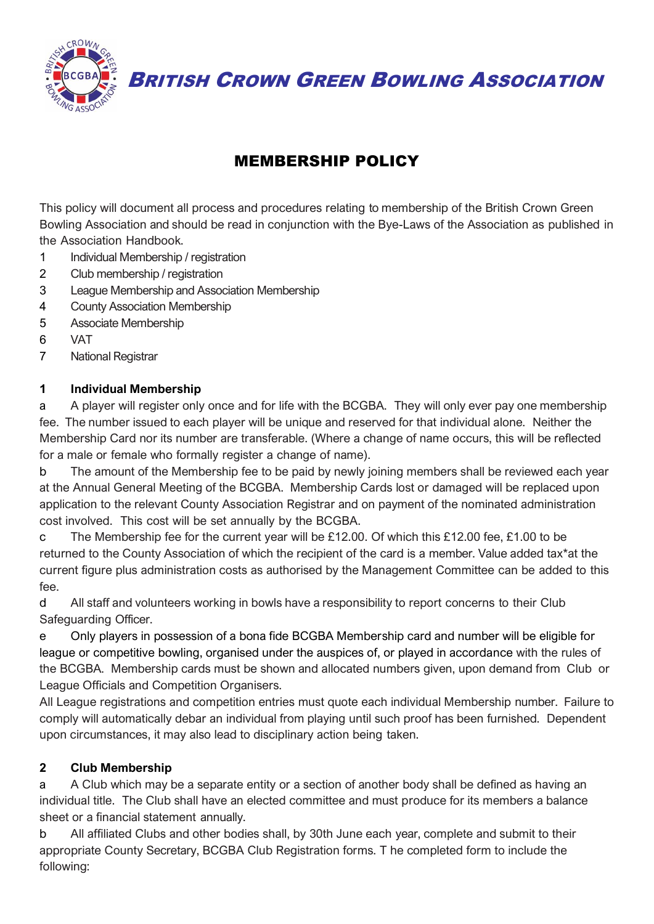

**BRITISH CROWN GREEN BOWLING ASSOCIATION** 

# MEMBERSHIP POLICY

This policy will document all process and procedures relating to membership of the British Crown Green Bowling Association and should be read in conjunction with the Bye-Laws of the Association as published in the Association Handbook.

- 1 Individual Membership / registration
- 2 Club membership / registration
- 3 League Membership and Association Membership
- 4 County Association Membership
- 5 Associate Membership
- 6 VAT
- 7 National Registrar

## **1 Individual Membership**

a A player will register only once and for life with the BCGBA. They will only ever pay one membership fee. The number issued to each player will be unique and reserved for that individual alone. Neither the Membership Card nor its number are transferable. (Where a change of name occurs, this will be reflected for a male or female who formally register a change of name).

b The amount of the Membership fee to be paid by newly joining members shall be reviewed each year at the Annual General Meeting of the BCGBA. Membership Cards lost or damaged will be replaced upon application to the relevant County Association Registrar and on payment of the nominated administration cost involved. This cost will be set annually by the BCGBA.

c The Membership fee for the current year will be £12.00. Of which this £12.00 fee, £1.00 to be returned to the County Association of which the recipient of the card is a member. Value added tax\*at the current figure plus administration costs as authorised by the Management Committee can be added to this fee.

d All staff and volunteers working in bowls have a responsibility to report concerns to their Club Safeguarding Officer.

e Only players in possession of a bona fide BCGBA Membership card and number will be eligible for league or competitive bowling, organised under the auspices of, or played in accordance with the rules of the BCGBA. Membership cards must be shown and allocated numbers given, upon demand from Club or League Officials and Competition Organisers.

All League registrations and competition entries must quote each individual Membership number. Failure to comply will automatically debar an individual from playing until such proof has been furnished. Dependent upon circumstances, it may also lead to disciplinary action being taken.

# **2 Club Membership**

a A Club which may be a separate entity or a section of another body shall be defined as having an individual title. The Club shall have an elected committee and must produce for its members a balance sheet or a financial statement annually.

b All affiliated Clubs and other bodies shall, by 30th June each year, complete and submit to their appropriate County Secretary, BCGBA Club Registration forms. T he completed form to include the following: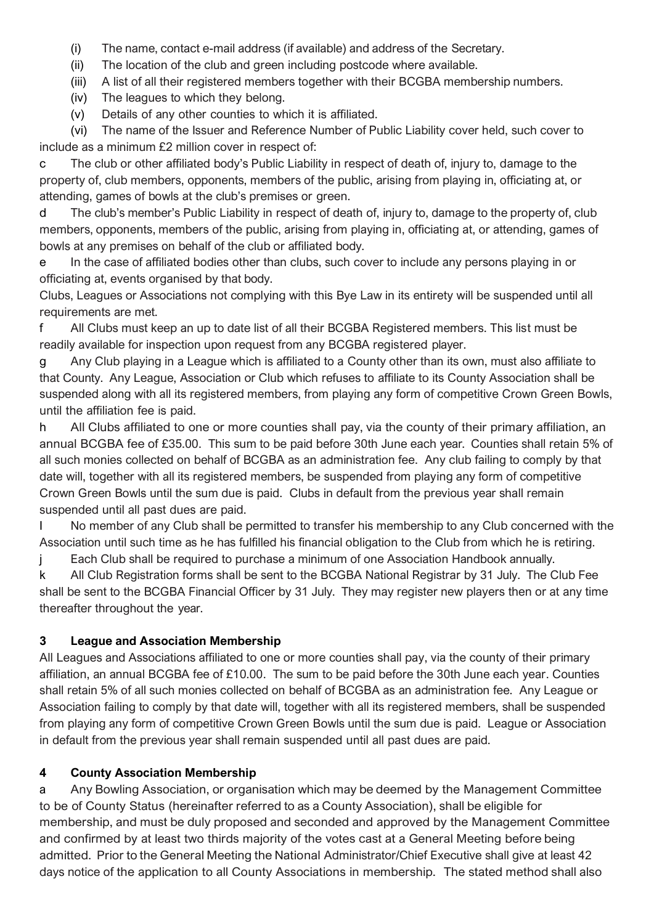- (i) The name, contact e-mail address (if available) and address of the Secretary.
- (ii) The location of the club and green including postcode where available.
- (iii) A list of all their registered members together with their BCGBA membership numbers.
- (iv) The leagues to which they belong.
- (v) Details of any other counties to which it is affiliated.

(vi) The name of the Issuer and Reference Number of Public Liability cover held, such cover to include as a minimum £2 million cover in respect of:

c The club or other affiliated body's Public Liability in respect of death of, injury to, damage to the property of, club members, opponents, members of the public, arising from playing in, officiating at, or attending, games of bowls at the club's premises or green.

d The club's member's Public Liability in respect of death of, injury to, damage to the property of, club members, opponents, members of the public, arising from playing in, officiating at, or attending, games of bowls at any premises on behalf of the club or affiliated body.

e In the case of affiliated bodies other than clubs, such cover to include any persons playing in or officiating at, events organised by that body.

Clubs, Leagues or Associations not complying with this Bye Law in its entirety will be suspended until all requirements are met.

f All Clubs must keep an up to date list of all their BCGBA Registered members. This list must be readily available for inspection upon request from any BCGBA registered player.

g Any Club playing in a League which is affiliated to a County other than its own, must also affiliate to that County. Any League, Association or Club which refuses to affiliate to its County Association shall be suspended along with all its registered members, from playing any form of competitive Crown Green Bowls, until the affiliation fee is paid.

h All Clubs affiliated to one or more counties shall pay, via the county of their primary affiliation, an annual BCGBA fee of £35.00. This sum to be paid before 30th June each year. Counties shall retain 5% of all such monies collected on behalf of BCGBA as an administration fee. Any club failing to comply by that date will, together with all its registered members, be suspended from playing any form of competitive Crown Green Bowls until the sum due is paid. Clubs in default from the previous year shall remain suspended until all past dues are paid.

I No member of any Club shall be permitted to transfer his membership to any Club concerned with the Association until such time as he has fulfilled his financial obligation to the Club from which he is retiring.

j Each Club shall be required to purchase a minimum of one Association Handbook annually.

k All Club Registration forms shall be sent to the BCGBA National Registrar by 31 July. The Club Fee shall be sent to the BCGBA Financial Officer by 31 July. They may register new players then or at any time thereafter throughout the year.

# **3 League and Association Membership**

All Leagues and Associations affiliated to one or more counties shall pay, via the county of their primary affiliation, an annual BCGBA fee of £10.00. The sum to be paid before the 30th June each year. Counties shall retain 5% of all such monies collected on behalf of BCGBA as an administration fee. Any League or Association failing to comply by that date will, together with all its registered members, shall be suspended from playing any form of competitive Crown Green Bowls until the sum due is paid. League or Association in default from the previous year shall remain suspended until all past dues are paid.

### **4 County Association Membership**

a Any Bowling Association, or organisation which may be deemed by the Management Committee to be of County Status (hereinafter referred to as a County Association), shall be eligible for membership, and must be duly proposed and seconded and approved by the Management Committee and confirmed by at least two thirds majority of the votes cast at a General Meeting before being admitted. Prior to the General Meeting the National Administrator/Chief Executive shall give at least 42 days notice of the application to all County Associations in membership. The stated method shall also